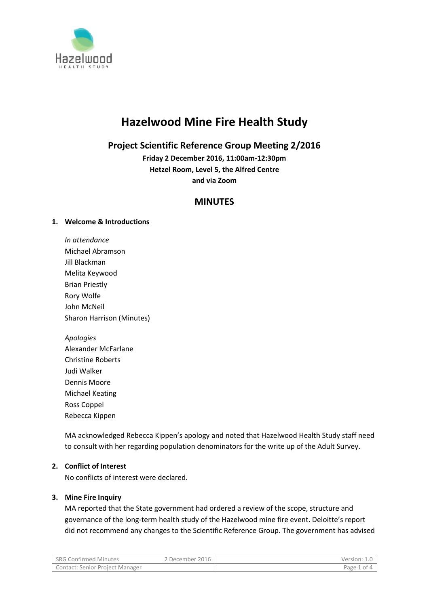

# **Hazelwood Mine Fire Health Study**

# **Project Scientific Reference Group Meeting 2/2016**

**Friday 2 December 2016, 11:00am-12:30pm Hetzel Room, Level 5, the Alfred Centre and via Zoom**

# **MINUTES**

# **1. Welcome & Introductions**

- *In attendance* Michael Abramson Jill Blackman Melita Keywood Brian Priestly Rory Wolfe John McNeil Sharon Harrison (Minutes)
- *Apologies* Alexander McFarlane Christine Roberts Judi Walker Dennis Moore Michael Keating Ross Coppel Rebecca Kippen

MA acknowledged Rebecca Kippen's apology and noted that Hazelwood Health Study staff need to consult with her regarding population denominators for the write up of the Adult Survey.

# **2. Conflict of Interest**

No conflicts of interest were declared.

# **3. Mine Fire Inquiry**

MA reported that the State government had ordered a review of the scope, structure and governance of the long-term health study of the Hazelwood mine fire event. Deloitte's report did not recommend any changes to the Scientific Reference Group. The government has advised

| SRG Confirmed Minutes           | ? December 2016 | Version:       |
|---------------------------------|-----------------|----------------|
| Contact: Senior Project Manager |                 | Page ?<br>1 of |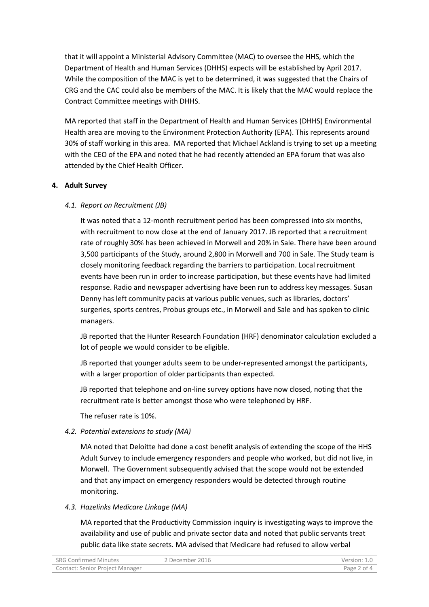that it will appoint a Ministerial Advisory Committee (MAC) to oversee the HHS, which the Department of Health and Human Services (DHHS) expects will be established by April 2017. While the composition of the MAC is yet to be determined, it was suggested that the Chairs of CRG and the CAC could also be members of the MAC. It is likely that the MAC would replace the Contract Committee meetings with DHHS.

MA reported that staff in the Department of Health and Human Services (DHHS) Environmental Health area are moving to the Environment Protection Authority (EPA). This represents around 30% of staff working in this area. MA reported that Michael Ackland is trying to set up a meeting with the CEO of the EPA and noted that he had recently attended an EPA forum that was also attended by the Chief Health Officer.

# **4. Adult Survey**

#### *4.1. Report on Recruitment (JB)*

It was noted that a 12-month recruitment period has been compressed into six months, with recruitment to now close at the end of January 2017. JB reported that a recruitment rate of roughly 30% has been achieved in Morwell and 20% in Sale. There have been around 3,500 participants of the Study, around 2,800 in Morwell and 700 in Sale. The Study team is closely monitoring feedback regarding the barriers to participation. Local recruitment events have been run in order to increase participation, but these events have had limited response. Radio and newspaper advertising have been run to address key messages. Susan Denny has left community packs at various public venues, such as libraries, doctors' surgeries, sports centres, Probus groups etc., in Morwell and Sale and has spoken to clinic managers.

JB reported that the Hunter Research Foundation (HRF) denominator calculation excluded a lot of people we would consider to be eligible.

JB reported that younger adults seem to be under-represented amongst the participants, with a larger proportion of older participants than expected.

JB reported that telephone and on-line survey options have now closed, noting that the recruitment rate is better amongst those who were telephoned by HRF.

The refuser rate is 10%.

# *4.2. Potential extensions to study (MA)*

MA noted that Deloitte had done a cost benefit analysis of extending the scope of the HHS Adult Survey to include emergency responders and people who worked, but did not live, in Morwell. The Government subsequently advised that the scope would not be extended and that any impact on emergency responders would be detected through routine monitoring.

#### *4.3. Hazelinks Medicare Linkage (MA)*

MA reported that the Productivity Commission inquiry is investigating ways to improve the availability and use of public and private sector data and noted that public servants treat public data like state secrets. MA advised that Medicare had refused to allow verbal

| <b>SRG Confirmed Minutes</b>           | ? December 2016 | Version:    |
|----------------------------------------|-----------------|-------------|
| <b>Contact: Senior Project Manager</b> |                 | Page 2 of 4 |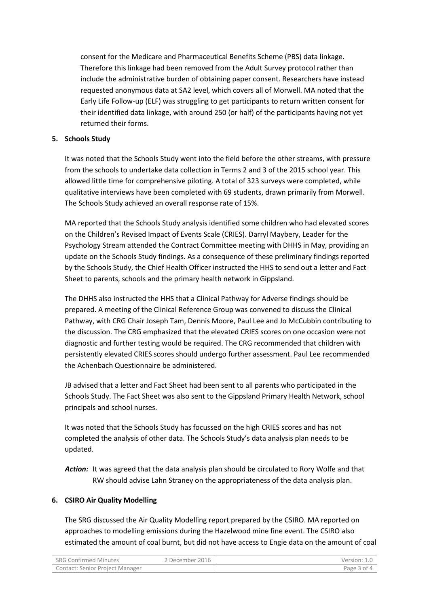consent for the Medicare and Pharmaceutical Benefits Scheme (PBS) data linkage. Therefore this linkage had been removed from the Adult Survey protocol rather than include the administrative burden of obtaining paper consent. Researchers have instead requested anonymous data at SA2 level, which covers all of Morwell. MA noted that the Early Life Follow-up (ELF) was struggling to get participants to return written consent for their identified data linkage, with around 250 (or half) of the participants having not yet returned their forms.

#### **5. Schools Study**

It was noted that the Schools Study went into the field before the other streams, with pressure from the schools to undertake data collection in Terms 2 and 3 of the 2015 school year. This allowed little time for comprehensive piloting. A total of 323 surveys were completed, while qualitative interviews have been completed with 69 students, drawn primarily from Morwell. The Schools Study achieved an overall response rate of 15%.

MA reported that the Schools Study analysis identified some children who had elevated scores on the Children's Revised Impact of Events Scale (CRIES). Darryl Maybery, Leader for the Psychology Stream attended the Contract Committee meeting with DHHS in May, providing an update on the Schools Study findings. As a consequence of these preliminary findings reported by the Schools Study, the Chief Health Officer instructed the HHS to send out a letter and Fact Sheet to parents, schools and the primary health network in Gippsland.

The DHHS also instructed the HHS that a Clinical Pathway for Adverse findings should be prepared. A meeting of the Clinical Reference Group was convened to discuss the Clinical Pathway, with CRG Chair Joseph Tam, Dennis Moore, Paul Lee and Jo McCubbin contributing to the discussion. The CRG emphasized that the elevated CRIES scores on one occasion were not diagnostic and further testing would be required. The CRG recommended that children with persistently elevated CRIES scores should undergo further assessment. Paul Lee recommended the Achenbach Questionnaire be administered.

JB advised that a letter and Fact Sheet had been sent to all parents who participated in the Schools Study. The Fact Sheet was also sent to the Gippsland Primary Health Network, school principals and school nurses.

It was noted that the Schools Study has focussed on the high CRIES scores and has not completed the analysis of other data. The Schools Study's data analysis plan needs to be updated.

*Action:* It was agreed that the data analysis plan should be circulated to Rory Wolfe and that RW should advise Lahn Straney on the appropriateness of the data analysis plan.

# **6. CSIRO Air Quality Modelling**

The SRG discussed the Air Quality Modelling report prepared by the CSIRO. MA reported on approaches to modelling emissions during the Hazelwood mine fine event. The CSIRO also estimated the amount of coal burnt, but did not have access to Engie data on the amount of coal

| <b>SRG Confirmed Minutes</b>           | 2 December 2016 | Version:    |
|----------------------------------------|-----------------|-------------|
| <b>Contact: Senior Project Manager</b> |                 | Page 3 of 4 |